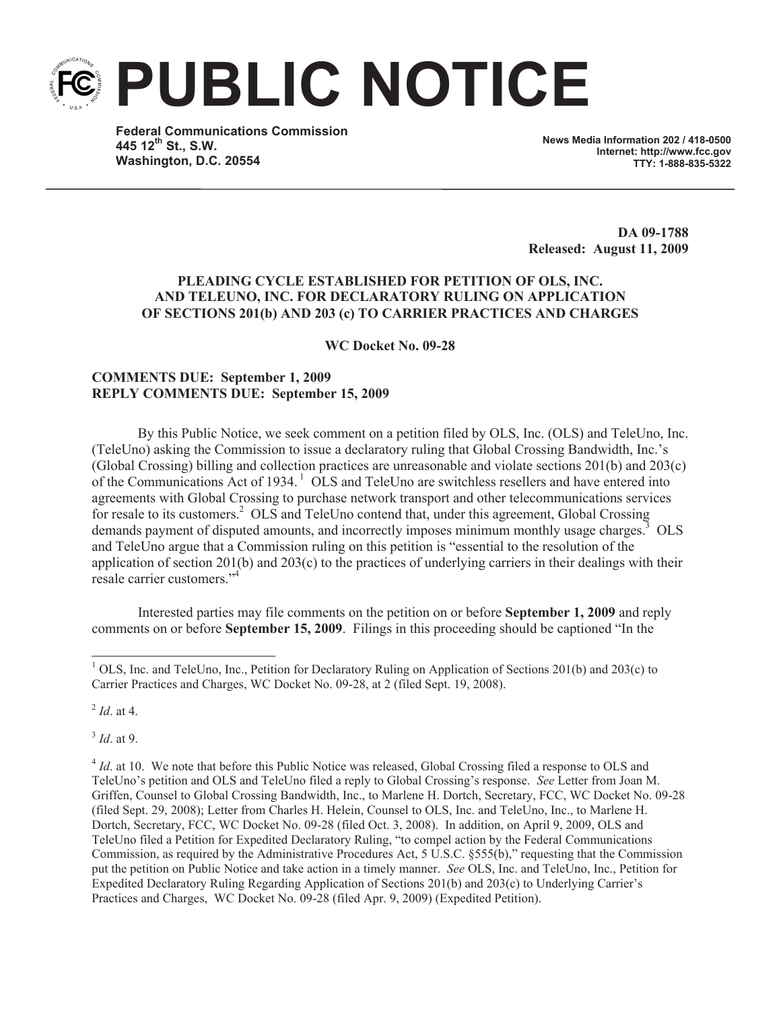**PUBLIC NOTICE**

**Federal Communications Commission 445 12th St., S.W. Washington, D.C. 20554**

**News Media Information 202 / 418-0500 Internet: http://www.fcc.gov TTY: 1-888-835-5322**

**DA 09-1788 Released: August 11, 2009**

## **PLEADING CYCLE ESTABLISHED FOR PETITION OF OLS, INC. AND TELEUNO, INC. FOR DECLARATORY RULING ON APPLICATION OF SECTIONS 201(b) AND 203 (c) TO CARRIER PRACTICES AND CHARGES**

**WC Docket No. 09-28**

## **COMMENTS DUE: September 1, 2009 REPLY COMMENTS DUE: September 15, 2009**

By this Public Notice, we seek comment on a petition filed by OLS, Inc. (OLS) and TeleUno, Inc. (TeleUno) asking the Commission to issue a declaratory ruling that Global Crossing Bandwidth, Inc.'s (Global Crossing) billing and collection practices are unreasonable and violate sections 201(b) and 203(c) of the Communications Act of 1934.<sup>1</sup> OLS and TeleUno are switchless resellers and have entered into agreements with Global Crossing to purchase network transport and other telecommunications services for resale to its customers.<sup>2</sup> OLS and TeleUno contend that, under this agreement, Global Crossing demands payment of disputed amounts, and incorrectly imposes minimum monthly usage charges.<sup>3</sup> OLS and TeleUno argue that a Commission ruling on this petition is "essential to the resolution of the application of section  $201(b)$  and  $203(c)$  to the practices of underlying carriers in their dealings with their resale carrier customers."<sup>4</sup>

Interested parties may file comments on the petition on or before **September 1, 2009** and reply comments on or before **September 15, 2009**. Filings in this proceeding should be captioned "In the

2 *Id*. at 4.

3 *Id*. at 9.

<sup>4</sup> *Id*. at 10. We note that before this Public Notice was released, Global Crossing filed a response to OLS and TeleUno's petition and OLS and TeleUno filed a reply to Global Crossing's response. *See* Letter from Joan M. Griffen, Counsel to Global Crossing Bandwidth, Inc., to Marlene H. Dortch, Secretary, FCC, WC Docket No. 09-28 (filed Sept. 29, 2008); Letter from Charles H. Helein, Counsel to OLS, Inc. and TeleUno, Inc., to Marlene H. Dortch, Secretary, FCC, WC Docket No. 09-28 (filed Oct. 3, 2008). In addition, on April 9, 2009, OLS and TeleUno filed a Petition for Expedited Declaratory Ruling, "to compel action by the Federal Communications Commission, as required by the Administrative Procedures Act, 5 U.S.C. §555(b)," requesting that the Commission put the petition on Public Notice and take action in a timely manner. *See* OLS, Inc. and TeleUno, Inc., Petition for Expedited Declaratory Ruling Regarding Application of Sections 201(b) and 203(c) to Underlying Carrier's Practices and Charges, WC Docket No. 09-28 (filed Apr. 9, 2009) (Expedited Petition).

<sup>&</sup>lt;sup>1</sup> OLS, Inc. and TeleUno, Inc., Petition for Declaratory Ruling on Application of Sections 201(b) and 203(c) to Carrier Practices and Charges, WC Docket No. 09-28, at 2 (filed Sept. 19, 2008).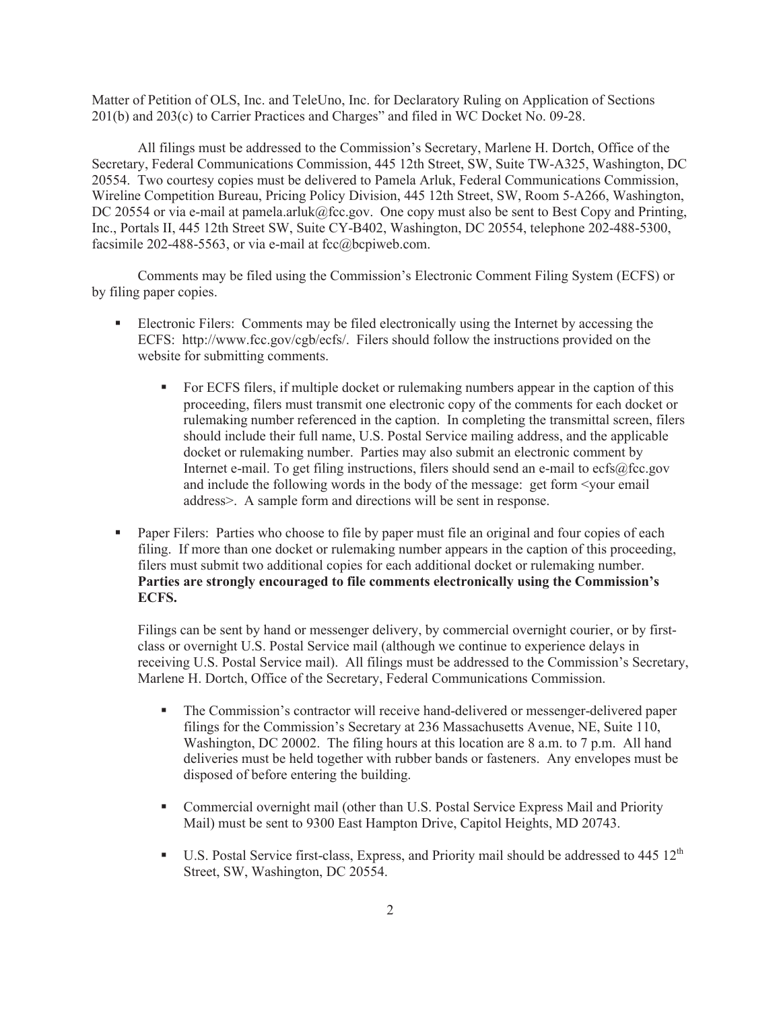Matter of Petition of OLS, Inc. and TeleUno, Inc. for Declaratory Ruling on Application of Sections 201(b) and 203(c) to Carrier Practices and Charges" and filed in WC Docket No. 09-28.

All filings must be addressed to the Commission's Secretary, Marlene H. Dortch, Office of the Secretary, Federal Communications Commission, 445 12th Street, SW, Suite TW-A325, Washington, DC 20554. Two courtesy copies must be delivered to Pamela Arluk, Federal Communications Commission, Wireline Competition Bureau, Pricing Policy Division, 445 12th Street, SW, Room 5-A266, Washington, DC 20554 or via e-mail at pamela.arluk@fcc.gov. One copy must also be sent to Best Copy and Printing, Inc., Portals II, 445 12th Street SW, Suite CY-B402, Washington, DC 20554, telephone 202-488-5300, facsimile 202-488-5563, or via e-mail at  $fcc@bcpi$ web.com.

Comments may be filed using the Commission's Electronic Comment Filing System (ECFS) or by filing paper copies.

- Electronic Filers: Comments may be filed electronically using the Internet by accessing the ECFS: http://www.fcc.gov/cgb/ecfs/. Filers should follow the instructions provided on the website for submitting comments.
	- For ECFS filers, if multiple docket or rulemaking numbers appear in the caption of this proceeding, filers must transmit one electronic copy of the comments for each docket or rulemaking number referenced in the caption. In completing the transmittal screen, filers should include their full name, U.S. Postal Service mailing address, and the applicable docket or rulemaking number. Parties may also submit an electronic comment by Internet e-mail. To get filing instructions, filers should send an e-mail to ecfs@fcc.gov and include the following words in the body of the message: get form <your email address>. A sample form and directions will be sent in response.
- Paper Filers: Parties who choose to file by paper must file an original and four copies of each filing. If more than one docket or rulemaking number appears in the caption of this proceeding, filers must submit two additional copies for each additional docket or rulemaking number. **Parties are strongly encouraged to file comments electronically using the Commission's ECFS.**

Filings can be sent by hand or messenger delivery, by commercial overnight courier, or by firstclass or overnight U.S. Postal Service mail (although we continue to experience delays in receiving U.S. Postal Service mail). All filings must be addressed to the Commission's Secretary, Marlene H. Dortch, Office of the Secretary, Federal Communications Commission.

- The Commission's contractor will receive hand-delivered or messenger-delivered paper filings for the Commission's Secretary at 236 Massachusetts Avenue, NE, Suite 110, Washington, DC 20002. The filing hours at this location are 8 a.m. to 7 p.m. All hand deliveries must be held together with rubber bands or fasteners. Any envelopes must be disposed of before entering the building.
- Commercial overnight mail (other than U.S. Postal Service Express Mail and Priority Mail) must be sent to 9300 East Hampton Drive, Capitol Heights, MD 20743.
- **•** U.S. Postal Service first-class, Express, and Priority mail should be addressed to 445  $12<sup>th</sup>$ Street, SW, Washington, DC 20554.